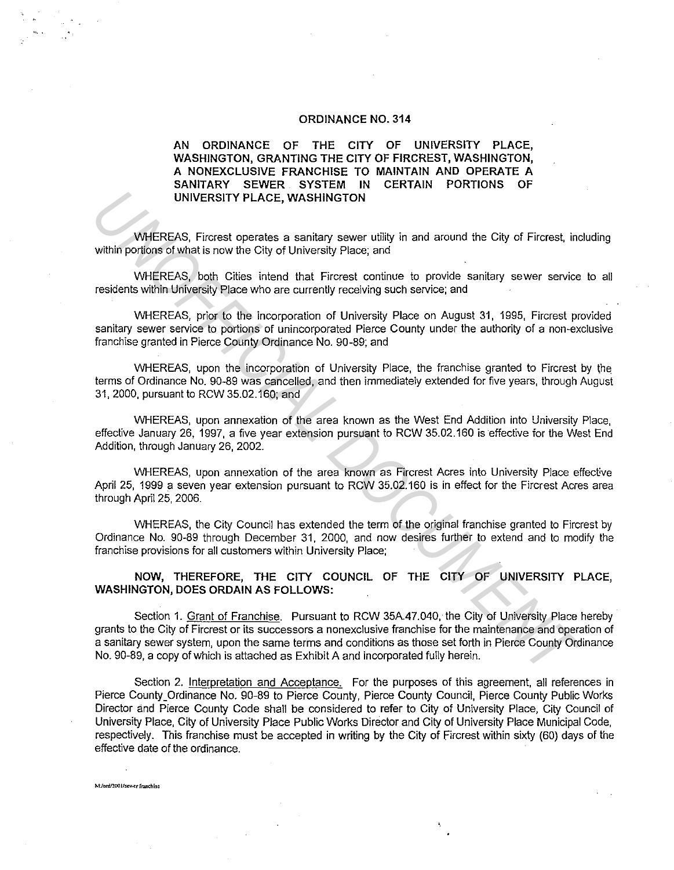### **ORDINANCE NO. 314**

# **AN ORDINANCE OF THE CITY OF UNIVERSITY PLACE, WASHINGTON, GRANTING THE CITY OF FIRCREST, WASHINGTON, A NONEXCLUSIVE FRANCHISE TO MAINTAIN AND OPERATE A SANITARY SEWER SYSTEM IN CERTAIN PORTIONS OF UNIVERSITY PLACE, WASHINGTON**

WHEREAS, Fircrest operates a sanitary sewer utility in and around the City of Fircrest, including within portions of what is now the City of University Place; and

WHEREAS, both Cities intend that Fircrest continue to provide sanitary sewer service to all residents within University Place who are currently receiving such service; and

WHEREAS, prior to the incorporation of University Place on August 31, 1995, Fircrest provided sanitary sewer service to portions of unincorporated Pierce County under the authority of a non-exclusive franchise granted in Pierce County Ordinance No. 90-89; and

WHEREAS, upon the incorporation of University Place, the franchise granted to Fircrest by the terms of Ordinance No. 90-89 was cancelled, and then immediately extended for five years, through August 31, 2000, pursuant to RCW 35.02.160; and

WHEREAS, upon annexation of the area known as the West End Addition into University Place, effective January 26, 1997, a five year extension pursuant to RCW 35.02.160 is effective for the West End Addition, through January 26, 2002.

WHEREAS, upon annexation of the area known as Fircrest Acres into University Place effective April 25, 1999 a seven year extension pursuant to RCW 35.02.160 is in effect for the Fircrest Acres area through April 25, 2006.

WHEREAS, the City Council has extended the term of the original franchise granted to Fircrest by Ordinance No. 90-89 through December 31, 2000, and now desires further to extend and to modify the franchise provisions for all customers within University Place;

**NOW, THEREFORE, THE CITY COUNCIL OF THE CITY OF UNIVERSITY PLACE, WASHINGTON, DOES ORDAIN AS FOLLOWS:** 

Section 1. Grant of Franchise. Pursuant to RCW 35A.47.040, the City of University Place hereby grants to the City of Fircrest or its successors a nonexclusive franchise for the maintenance and operation of a sanitary sewer system, upon the same terms and conditions as those set forth in Pierce County Ordinance No. 90-89, a copy of which is attached as Exhibit A and incorporated fully herein. UNIVERSITY PLACE, WASHINGTON<br>
WHEREAS, Fincrest operates a senitary sewer utility in and around the City of Fincrest, in<br>
whitein portions of what is now the City of University Place, and<br>
WHEREAS, both Cliftos instead tha

Section 2. Interpretation and Acceptance. For the purposes of this agreement, all references in Pierce County\_ Ordinance No. 90-89 to Pierce County, Pierce County Council, Pierce County Public Works Director and Pierce County Code shall be considered to refer to City of University Place, City Council of University Place, City of University Place Public Works Director and City of University Place Municipal Code, respectively. This franchise must be accepted in writing by the City of Fircrest within sixty (60) days of the effective date of the ordinance.

M:/ord/2001/sewer franchise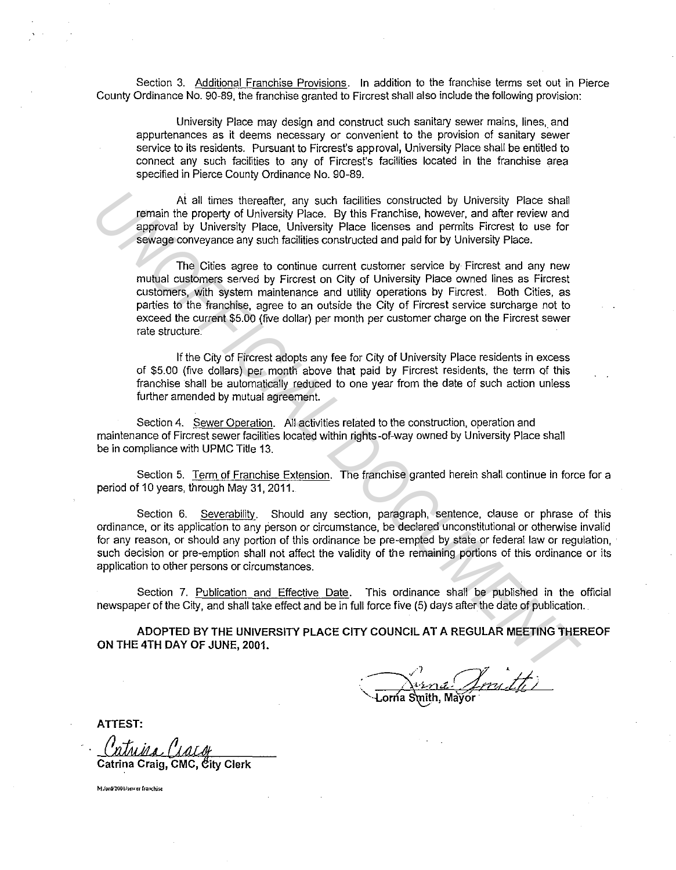Section 3. Additional Franchise Provisions. In addition to the franchise terms set out in Pierce County Ordinance No. 90-89, the franchise granted to Fircrest shall also include the following provision:

University Place may design and construct such sanitary sewer mains, lines, and appurtenances as it deems necessary or convenient to the provision of sanitary sewer service to its residents. Pursuant to Fircrest's approval, University Place shall be entitled to connect any such facilities to any of Fircrest's facilities located in the franchise area specified in Pierce County Ordinance No. 90-89.

Ai all times thereafter, any such facilities constructed by University Place shall remain the property of University Place. By this Franchise, however, and after review and approval by University Place, University Place licenses and permits Fircrest to use for sewage conveyance any such facilities constructed and paid for by University Place.

The Cities agree to continue current customer service by Fircrest and any new mutual customers served by Fircrest on City of University Place owned lines as Fircrest customers, with system maintenance and utility operations by Fircrest. Both Cities, as parties to the franchise, agree to an outside the City of Fircrest service surcharge not to exceed the current \$5.00 (five dollar) per month per customer charge on the Fircrest sewer rate structure. At all times thereafter, any such facilies constructed by University Place shall<br>approved by University Place. University Place is this Franchise, nowever, and aller neview and<br>approved by University Place. University Plac

If the City of Fircrest adopts any fee for City of University Place residents in excess of \$5.00 (five dollars) per month above that paid by Fircrest residents, the term of this franchise shall be automatically reduced to one year from the date of such action unless further amended by mutual agreement.

Section 4. Sewer Operation. All activities related to the construction, operation and maintenance of Fircrest sewer facilities located within rights-of-way owned by University Place shall be in compliance with UPMC Title 13.

Section 5. Term of Franchise Extension. The franchise granted herein shall continue in force for a period of 10 years, through May 31, 2011.

Section 6. Severability. Should any section, paragraph, sentence, clause or phrase of this ordinance, or its application to any person or circumstance, be declared unconstitutional or otherwise invalid for any reason, or should any portion of this ordinance be pre-empted by state or federal law or regulation, such decision or pre-emption shall not affect the validity of the remaining portions of this ordinance or its application to other persons or circumstances.

Section 7. Publication and Effective Date. This ordinance shall be published in the official newspaper of the City, and shall take effect and be in full force five (5) days after the date of publication.

**ADOPTED BY THE UNIVERSITY PLACE CITY COUNCIL AT A REGULAR MEETING THEREOF ON THE 4TH DAY OF JUNE, 2001.** 

**ATTEST:** 

*Catrina Craig, CMC, City Clerk* 

**Mlordl200ll•cwcr rr.mc!Usc**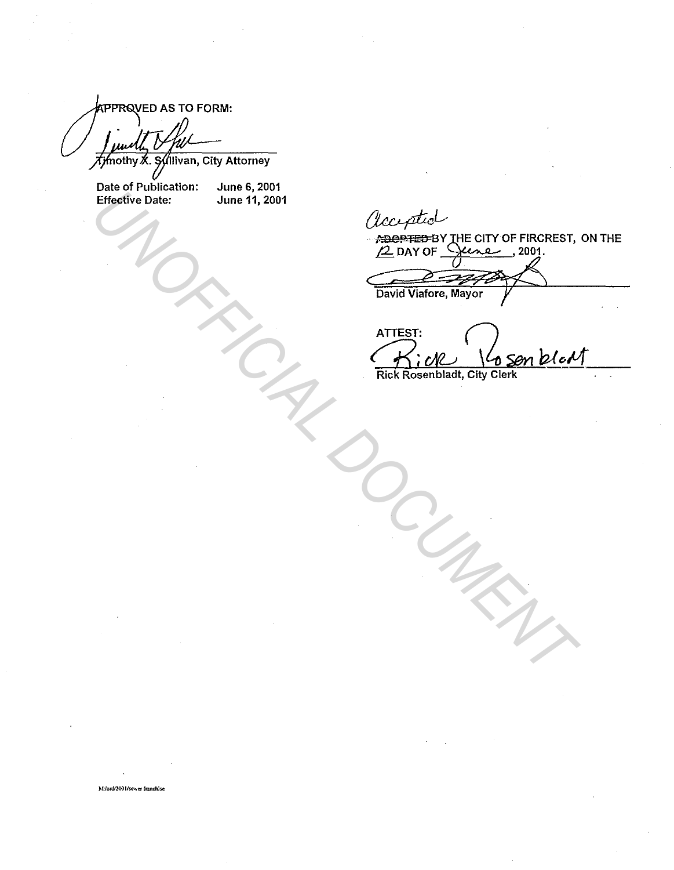**IPPRQVED AS TO FORM:** 

Timothy X. Syllivan, City Attorney

Date of Publication: June 6, 2001 Effective Date: June 11, 2001

 $ATTEST:$ <br> $K:UR$   $\sqrt{659n}$   $bdot$ Effective Date: June 11, 2001<br> *Uncertainer The CITY OF FIRCREST*.<br> *Examples The CITY OF FIRCREST*.<br> *Examples Value Of Son D.Coll*<br>
First Rosenbladt, City Cierk<br> *City Cierk* 

Rick Rosenbladt, City Clerk

M:/ord/2001/scwer franchise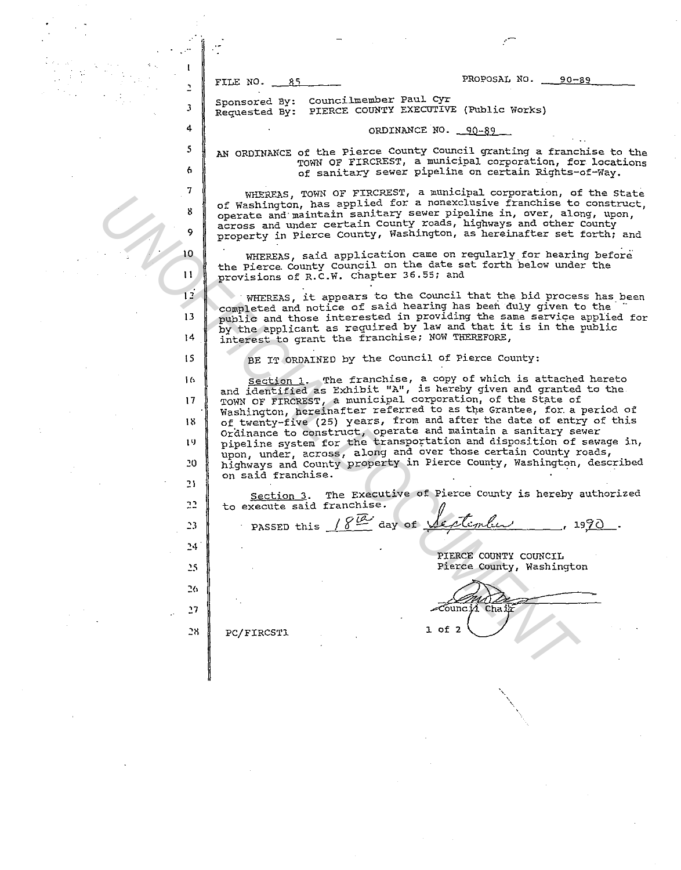J 4 *5* 

 $\mathbf{r}$ 

7

6

9

10 11

FILE NO. 35 2000 PROPOSAL NO. 20-89

Sponsored By: Requested By: Councilmember Paul Cyr PIERCE COUNTY EXECOTIVE (Public Works)

#### ORDINANCE NO. 90-89

AN ORDINANCE of the Pierce County Council granting a franchise to the TOWN OF FIRCREST, a municipal corporation, for locations of sanitary sewer pipeline on certain Rights-of-Way.

WHEREAS, TOWN OF FIRCREST, a municipal corporation, of the state of Washington, has applied for a nonexclusive franchise to construct operate and maintain sanitary sewer pipeline in, over, along, upon ' across and under certain County roads, highways and other county ' property in Pierce County, Washington, as hereinafter set forth; and

WHEREAS, said application came on regularly for hearing before the Pierce County Council on the date set forth below under the provisions of R.C.W. Chapter 36.55; and

WHEREAS, it appears to the Council that the bid process has been completed and notice of said hearing has been duly given to the public and those interested in providing the same service applied for public and those interested in providing the same service applied<br>by the applicant as required by law and that it is in the public by the appricant as requested to the MOW THEREFORE,

BE IT ORDAINED by the Council of Pierce County:

Section 1. The franchise, a copy of which is attached hereto and identified as Exhibit "A", is hereby given and granted to the TOWN OF FIRCREST, a municipal corporation, of the State of Washington, hereinafter referred to as the Grantee, for a period of of twenty-five (25) years, from and after the date of entry of this orainance to construct, operate and maintain a sanitary sewer pipeline system for the transportation and disposition of sewage in, upon, under, across, along and over those certain County roads, highways and County property in Pierce County, Washington, described on said franchise. **UNERENTS TOWER UNITS AND UPPER CONTROLL AND STATES AND INTEREST AS A SURFAINT CONTROLL AND SURFAINED ASSESS AND INTEREST AND SURFAME TO A SURFAME THE SURFAME TO A SURFAME TO A SURFAME TO A SURFAME TO A SURFAME TO A SURFAM** 

Section 3. The Executive of Pierce County is hereby authorized to execute said franchise. #

PASSED this  $/8\frac{a}{s}$  day of  $\sqrt{e^{c}t}$ ; 1990.

PIERCE COUNTY COUNCIL Pierce County, Washington

 $\epsilon$  Council Chair 1 of 2

 $\checkmark$ 

PC/FIRCST1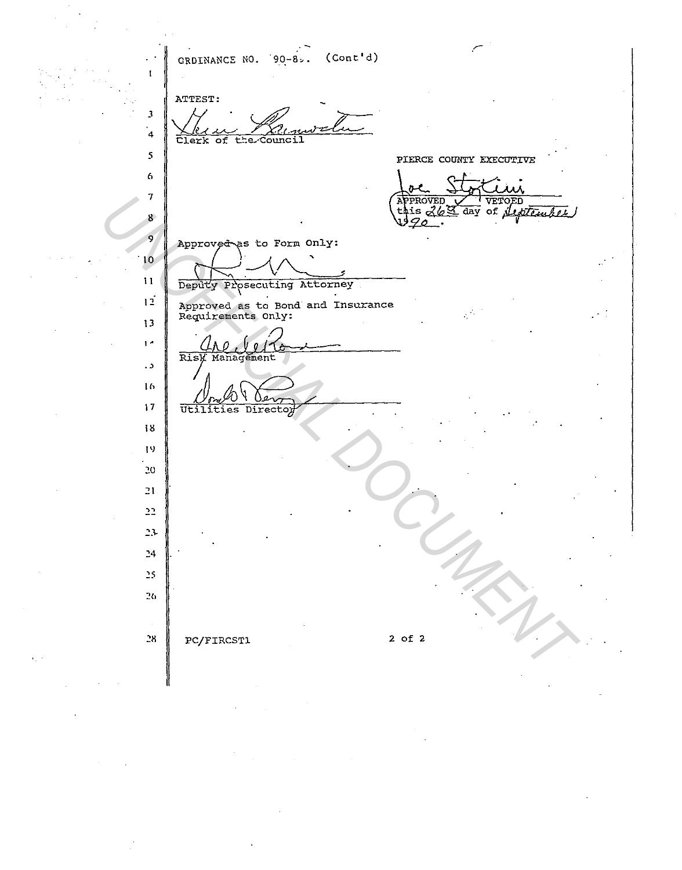$CRDINANCE NO. 90-8. (Cont'd)$  $\mathbf{I}$ ATTEST: J  $\frac{1}{2}$ 4 *5*  PIERCE COUNTY EXECUTIVE 6 ò Ī  $\mathbf{A}$ 7 *UNDERVEASE to Form Only.*<br>
Approved as to Form Only.<br>
10<br>
10<br>
Deputy Presenting Attorney<br>
11<br>
11<br>
Deputy Presenting Attorney<br>
11<br>
11<br>
Underline Director<br>
11<br>
11<br>
UNIFERENT COUNTY<br>
THERE DESIGNATION<br>
12<br>
2012<br>
2012<br>
2012<br> 8 9 Approved as to Form Only: . 10 1 I **osecuting Attorney** \ . . **Approved as ta Bond and Insurance**  12 **Requirements only:**  13 1 • *CAO* VIT . , lh  $\frac{N_{frr}N}{\text{Utilities Directory}}$ 17 18 I 'I *20*  21 *25*  PC/FIRCST1 2 of 2 *28*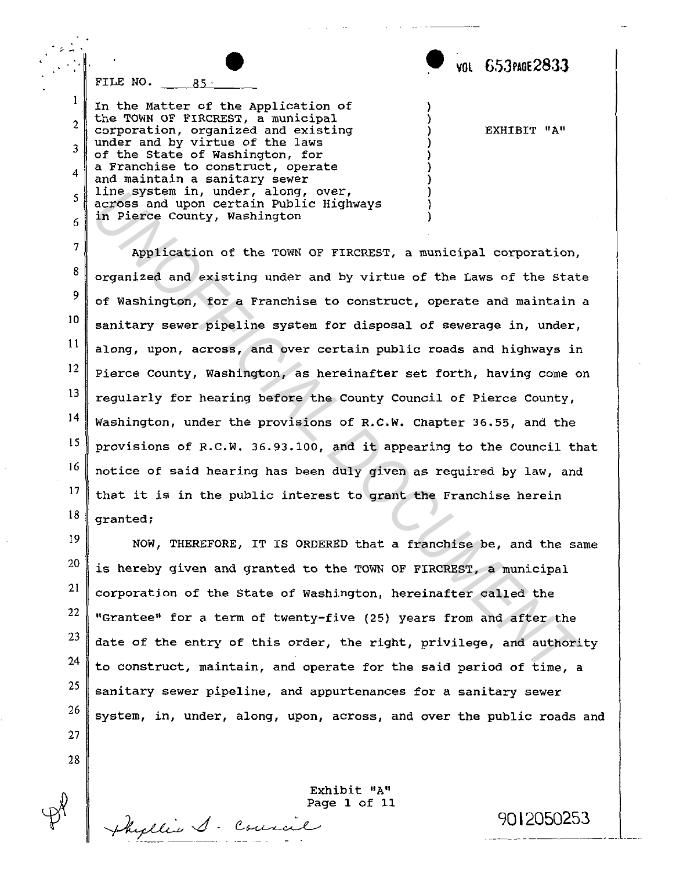• **VOL 6.53PAGE283J** 

EXHIBIT "A"

) ) ) ) ) ) ) ) ) )

FILE NO.  $\frac{85}{100}$ 

 $\overline{\phantom{a}}$  .

2

 $\mathbf{1}$ 

3

4

5

6

In the Matter of the Application of the TOWN OF FIRCREST, a municipal corporation, organized and existing under and by virtue of the laws of the State of Washington, for a Franchise to construct, operate and maintain a sanitary sewer line system in, under, along, over, across and upon certain Public Highways in Pierce County, Washington

7 8 9 10 11 12 13 14 15 16 17 18 Application of the TOWN OF FIRCREST, a municipal corporation, organized and existing under and by virtue of the Laws of the State of Washington, for a Franchise to construct, operate and maintain a sanitary sewer pipeline system for disposal of sewerage in, under, along, upon, across, and over certain public roads and highways in Pierce county, Washington, as hereinafter set forth, having come on regularly for hearing before the County Council of Pierce county, Washington, under the provisions of R.C.W. Chapter 36.55, and the provisions of R.C.W. 36.93.100, and it appearing to the Council that notice of said hearing has been duly given as required by law, and that it is in the public interest to grant the Franchise herein granted; Ine system in, under, along, over,<br>across and upon certain Public Highways<br>in Pierce County, Washington<br>in Pierce County, Washington<br>in Pierce County, Washington<br>organized and existing under and by virtue of the Laws of th

NOW, THEREFORE, IT IS ORDERED that a franchise be, and the same is hereby given and granted to the TOWN OF FIRCREST, a municipal corporation of the State of Washington, hereinafter called the "Grantee" for a term of twenty-five (25) years from and after the date of the entry of this order, the right, privilege, and authority to construct, maintain, and operate for the said period of time, a sanitary sewer pipeline, and appurtenances for a sanitary sewer system, in, under, along, upon, across, and over the public roads and

27

19

20

21

22

23

24

25

26

28

 $~\mu$ hyllis  $\cal J$  Council 9012050253

Exhibit "A" Page **1** of 11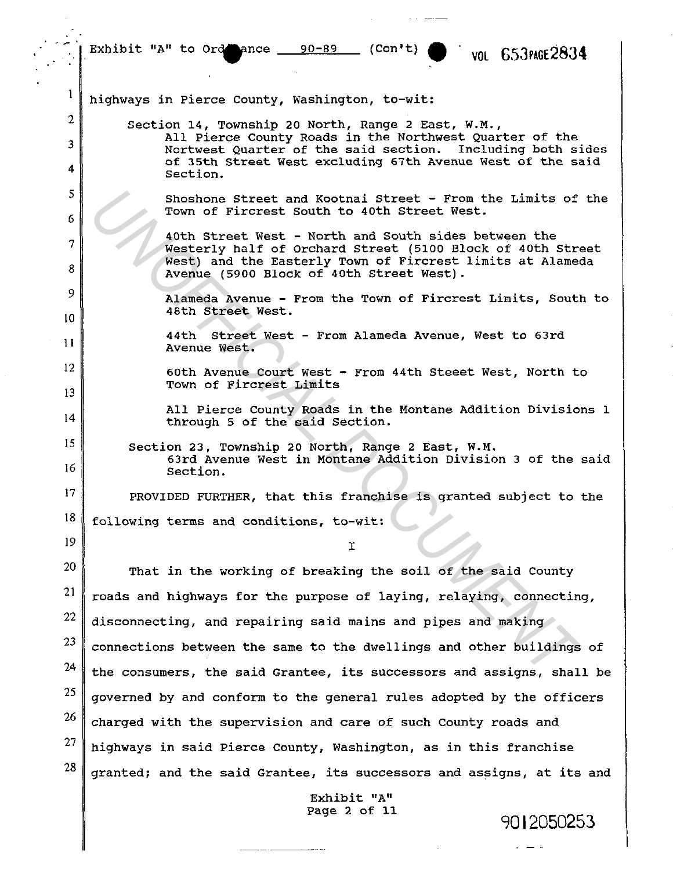$\frac{1}{2}$ . Exhibit "A" to Ord ance  $\frac{90-89}{\sqrt{2}}$  (Con't)  $\frac{8}{\sqrt{2}}$  vol  $653$ PAGE2834

 $\mathbf{1}$ highways in Pierce County, Washington, to-wit: 2 Section 14, Township 20 North, Range 2 East, W.M., All Pierce County Roads in the Northwest Quarter of the 3 Nortwest Quarter of the said section. Including both sides of 35th street West excluding 67th Avenue West of the said 4 section. 5 Shoshome Street and Kootnai Street - From the Limits of<br>
Town of Fircrets South to 40th Street West.<br>
40th Street West - North and South sides between the<br>
Westerly half of Orchard Street (5100 Block of 40th Street<br>
West) Shoshone Street and Kootnai Street - From the Limits of the Town of Fircrest south to 40th Street West. 6 40th Street West - North and South sides between the 7 Westerly half of Orchard Street (5100 Block of 40th Street West) and the Easterly Town of Fircrest limits at Alameda 8 Avenue (5900 Block of 40th street West). 9 Alameda Avenue - From the Town of Fircrest Limits, South to 48th Street West. 10 44th Street West - From Alameda Avenue, West to 63rd 11 Avenue West. 12 60th Avenue Court West - From 44th Steeet West, North to Town of Fircrest Limits 13 All Pierce County Roads in the Montane Addition Divisions 1 14 through 5 of the said Section. 15 Section 23, Township 20 North, Range 2 East, W.M. 63rd Avenue West in Montane Addition Division 3 of the said 16 Section. 17 PROVIDED FURTHER, that this franchise is granted subject to the 18 following terms and conditions, to-wit: 19 I 20 That in the working of breaking the soil of the said County 21 roads and highways for the purpose of laying, relaying, connecting, 22 disconnecting, and repairing said mains and pipes and making 23 connections between the same to the dwellings and other buildings of 24 the consumers, the said Grantee, its successors and assigns, shall be 25 governed by and conform to the general rules adopted by the officers 26 charged with the supervision and care of such County roads and 27 highways in said Pierce County, Washington, as in this franchise 28 granted; and the said Grantee, its successors and assigns, at its and Exhibit "A"<br>Page 2 of 11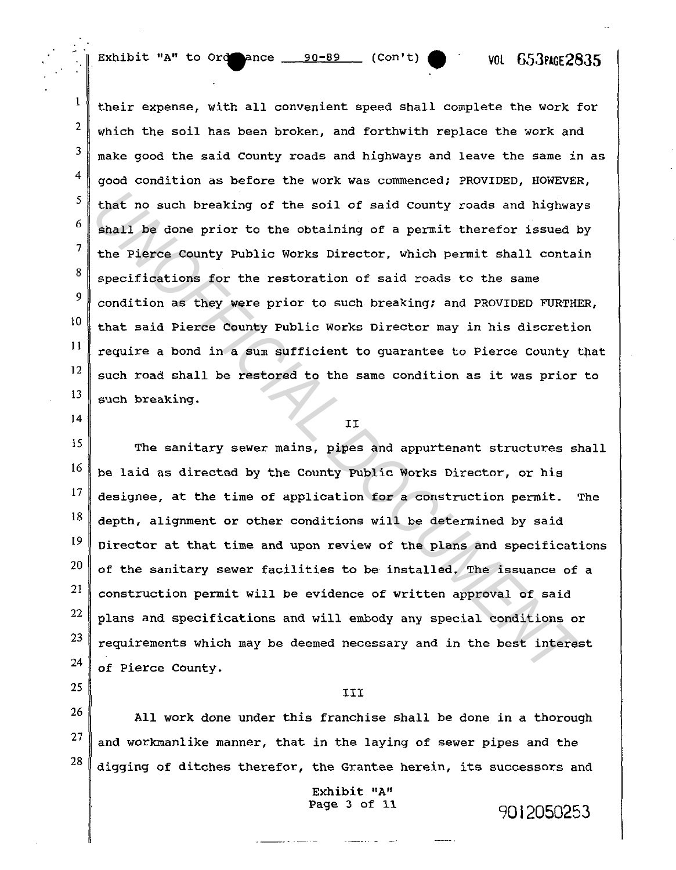Exhibit "A" to Ord ance  $\frac{90-89}{ }$  (Con't) • VOL 653PLGE2835

their expense, with all convenient speed shall complete the work for which the soil has been broken, and forthwith replace the work and make good the said county roads and highways and leave the same in as good condition as before the work was commenced; PROVIDED, HOWEVER, that no such breaking of the soil of said county roads and highways shall be done prior to the obtaining of a permit therefor issued by the Pierce County Public Works Director, which permit shall contain specifications for the restoration of said roads to the same condition as they were prior to such breaking; and PROVIDED FURTHER, that said Pierce County Public Works Director may in his discretion require a bond in a sum sufficient to guarantee to Pierce County that such road shall be restored to the same condition as it was prior to such breaking.

14

25

-.

1

2

3

4

5

6

7

8

9

10

11

12

13

II

15 16 17 18 19 20 21 22 23 24 The sanitary sewer mains, pipes and appurtenant structures shall be laid as directed by the County Public Works Director, or his designee, at the time of application for a construction permit. The depth, alignment or other conditions will be determined by said Director at that time and upon review of the plans and specifications of the sanitary sewer facilities to be installed. The issuance of a construction permit will be evidence of written approval of said plans and specifications and will embody any special conditions or requirements which may be deemed necessary and in the best interest of Pierce County. that no such breaking of the soil of said county roads and highway<br>shall be done prior to the obtaining of a permit therefor issued the Pierce County Public Works Director, which permit shall contai<br>specifications for the

## III

26 27 28 All work done under this franchise shall be done in a thorough and workmanlike manner, that in the laying of sewer pipes and the digging of ditches therefor, the Grantee herein, its successors and

Exhibit "A"<br>Page 3 of 11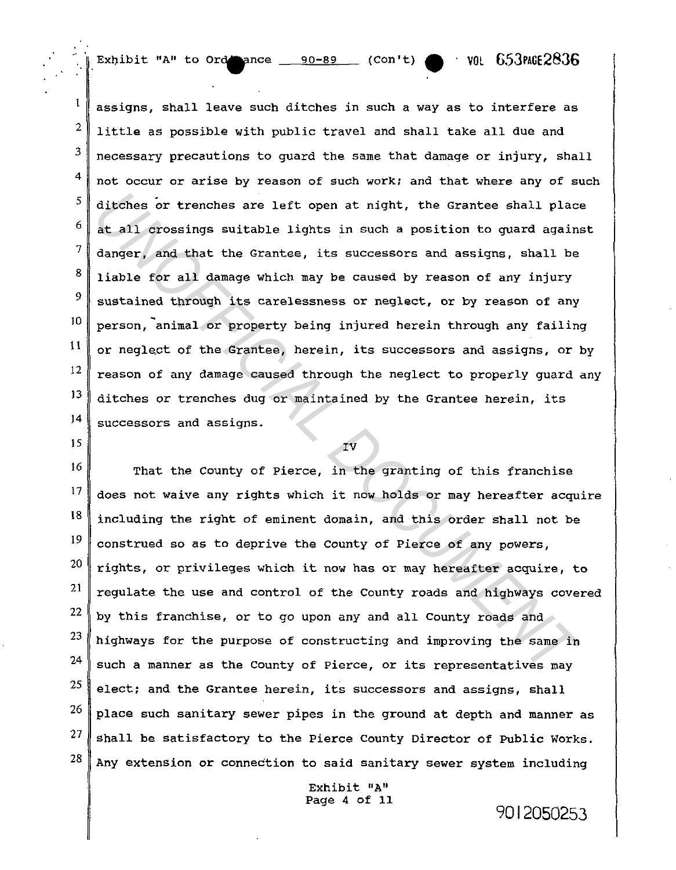Exhibit "A" to Ord name  $90-89$  (Con't) • VOL 653PAGE2836

 $\frac{1}{\pi}$ 

3

 $\mathbf{I}$ 

9

15

2 4 5 6 7 8 JO 11 12 13 14 assigns, shall leave such ditches in such a way as to interfere as little as possible with public travel and shall take all due and necessary precautions to guard the same that damage or injury, shall not occur or arise by reason of such work; and that where any of such ditches or trenches are left open at night, the Grantee shall place at all crossings suitable lights in such a position to guard against danger, and that the Grantee, its successors and assigns, shall be liable for all damage which may be caused by reason of any injury sustained through its carelessness or neglect, or by reason of any person, animal or property being injured herein through any failing or neglect of the Grantee, herein, its successors and assigns, or by reason of any damage caused through the neglect to properly guard any ditches or trenches dug or maintained by the Grantee herein, its successors and assigns. ditches or trenches are left open at night, the Grantee shall place at all crossings suitable lights in such a position to quard again danger, and that the Grantee, its successors and assigns, shall be liable for all danag

IV

16 17 18 19 20 21 22 23 24 25 26 27 28 That the County of Pierce, in the granting of this franchise does not waive any rights which it now holds or may hereafter acquire including the right of eminent domain, and this order shall not be construed so as to deprive the County of Pierce of any powers, rights, or privileges which it now has or may hereafter acquire, to regulate the use and control of the County roads and highways covered by this franchise, or to go upon any and all County roads and highways for the purpose of constructing and improving the same in such a manner as the county of Pierce, or its representatives may elect; and the Grantee herein, its successors and assigns, shall place such sanitary sewer pipes in the ground at depth and manner as shall be satisfactory to the Pierce County Director of PUblic Works. Any extension or connection to said sanitary sewer system including

> Exhibit "A" Page 4 of 11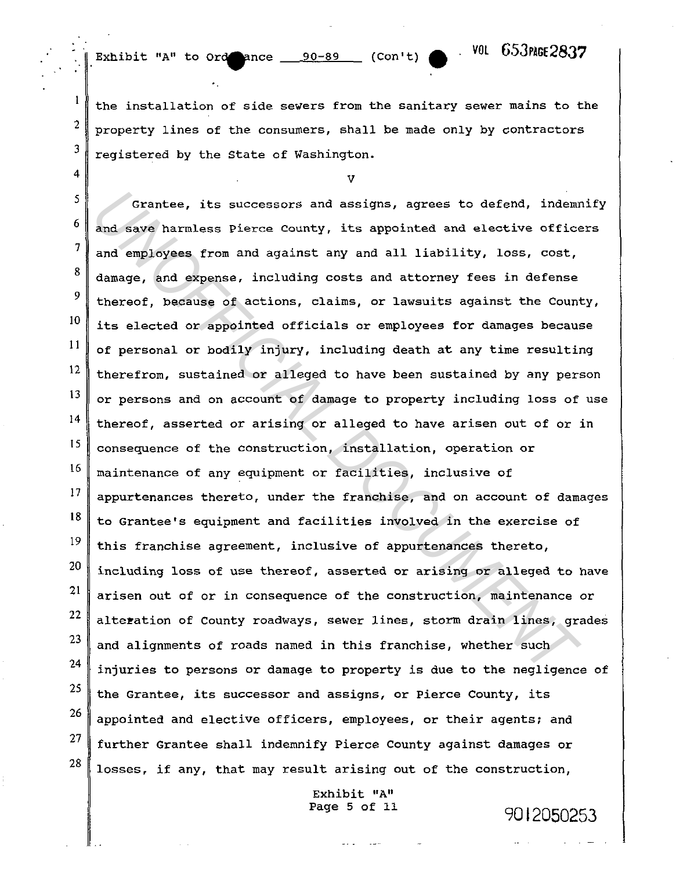..

2

 $\mathbf{1}$ 

3

4

Exhibit "A" to  $0 \text{ rad}$  ance  $90-89$  (Con't)  $\bullet$  <sup>. VOL</sup>  $653$  NGE 2837

the installation of side sewers from the sanitary sewer mains to the property lines of the consumers, shall be made only by contractors registered by the State of Washington.

v

5 6 7 8 9 IO 11 12 13 14 15 16 17 18 19 20 21 22 23 24 25 26 27 28 Grantee, its successors and assigns, agrees to defend, indemnify and save harmless Pierce County, its appointed and elective officers and employees from and against any and all liability, loss, cost, damage, and expense, including costs and attorney fees in defense thereof, because of actions, claims, or lawsuits against the County, its elected or appointed officials or employees for damages because of personal or bodily injury, including death at any time resulting therefrom, sustained or alleged to have been sustained by any person or persons and on account of damage to property including loss of use thereof, asserted or arising or alleged to have arisen out of or in consequence of the construction, installation, operation or maintenance of any equipment or facilities, inclusive of appurtenances thereto, under the franchise, and on account of damages to Grantee's equipment and facilities involved in the exercise of this franchise agreement, inclusive of appurtenances thereto, including loss of use thereof, asserted or arising or alleged to have arisen out of or in consequence of the construction, maintenance or alteration of County roadways, sewer lines, storm drain lines, grades and alignments of roads named in this franchise, whether such injuries to persons or damage to property is due to the negligence of the Grantee, its successor and assigns, or Pierce County, its appointed and elective officers, employees, or their agents; and further Grantee shall indemnify Pierce County against damages or losses, if any, that may result arising out of the construction, Grantee, its successors and assigns, agrees to defend, indem<br>and save harmless Pierce County, its appointed and elective office<br>and employees from and against any and all liability, loss, cost,<br>damage, and expense, includi

> Exhibit "A" Page 5 of 11 9012050253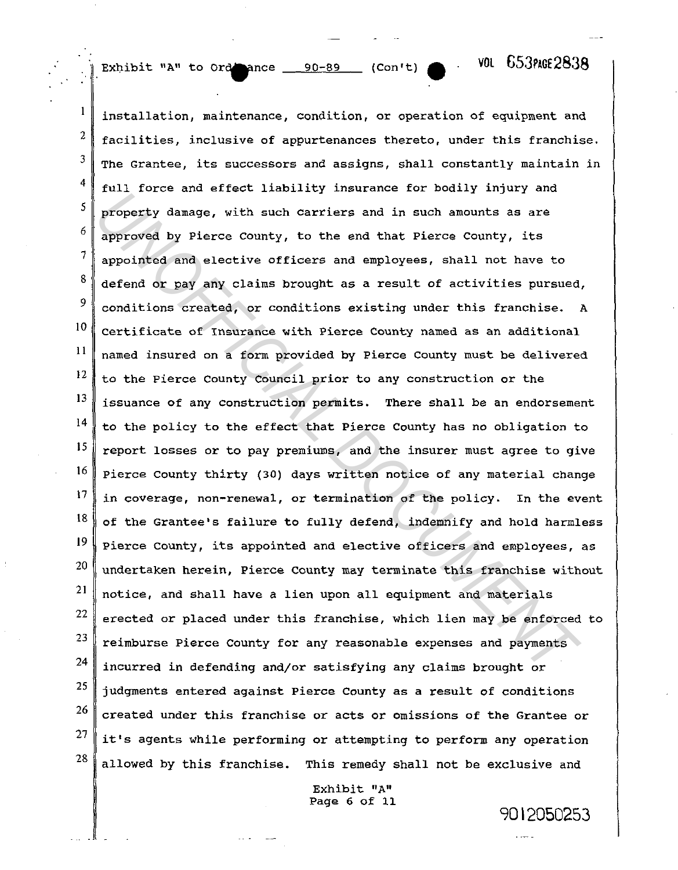Exhibit "A" to ordenance 90-89 (Con't)  $\bullet$   $\cdot$  VOL 653PAGE2838

9012050253

 $\mathbf{1}$ installation, maintenance, condition, or operation of equipment and 2 facilities, inclusive of appurtenances thereto, under this franchise. 3 The Grantee, its successors and assigns, shall constantly maintain in 4 full force and effect liability insurance for bodily injury and *Universion with such carriers and in such amounts as are*<br>approved by Pierce County, to the end that Pierce County, its<br>approved by Pierce County, to the end that Pierce County, its<br>appointed and elective officers and amp 5 property damage, with such carriers and in such amounts as are 6 approved by Pierce County, to the end that Pierce County, its 7 appointed and elective officers and employees, shall not have to 8 defend or pay any claims brought as a result of activities pursued, 9 conditions created, or conditions existing under this franchise. <sup>A</sup> IO certificate of Insurance with Pierce County named as an additional 11 named insured on a form provided by Pierce County must be delivered 12 to the Pierce County Council prior to any construction or the 13 issuance of any construction permits. There shall be an endorsement 14 to the policy to the effect that Pierce County has no obligation to 15 report losses or to pay premiums, and the insurer must agree to give 16 Pierce County thirty (30) days written notice of any material change l7 in coverage, non-renewal, or termination of the policy. In the event 18 of the Grantee's failure to fully defend, indemnify and hold harmless 19 Pierce county, its appointed and elective officers and employees, as 20 undertaken herein, Pierce County may terminate this franchise without 21 notice, and shall have a lien upon all equipment and materials 22 erected or placed under this franchise, which lien may be enforced to 23 reimburse Pierce county for any reasonable expenses and payments 24 incurred in defending and/or satisfying any claims brought or 25 judgments entered against Pierce County as a result of conditions 26 created under this franchise or acts or omissions of the Grantee or 27 it's agents while performing or attempting to perform any operation 28 allowed by this franchise. This remedy shall not be exclusive and

> Exhibit "A" Page 6 of 11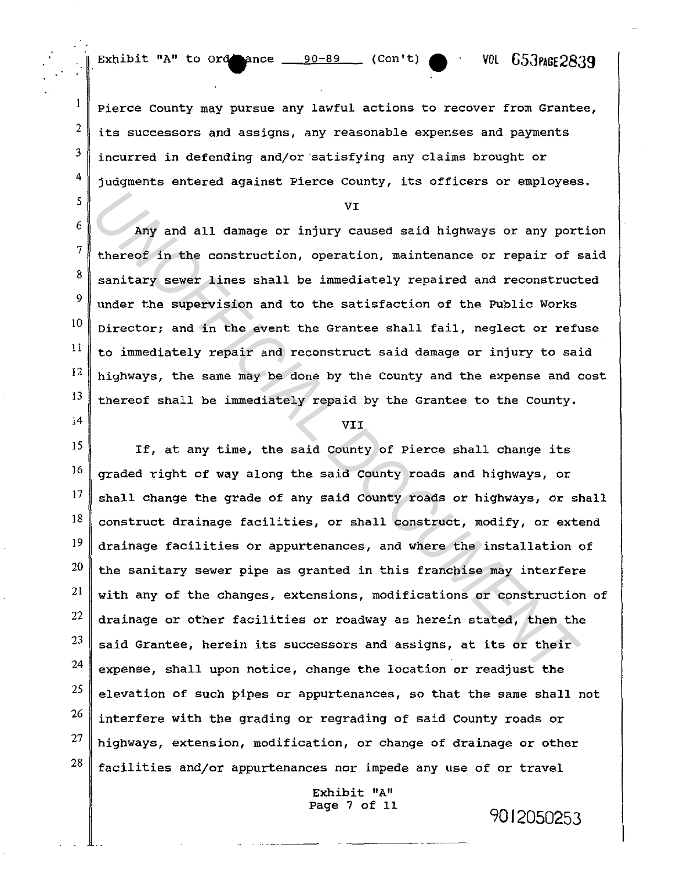2

 $\mathbf{1}$ 

3

4

5

6

7

8

9

JO

11

12

J3

14

Pierce County may pursue any lawful actions to recover from Grantee, its successors and assigns, any reasonable expenses and payments incurred in defending and/or·satisfying any claims brought or judgments entered against Pierce County, its officers or employees.

VI

Any and all damage or injury caused said highways or any portion thereof in the construction, operation, maintenance or repair of said sanitary sewer lines shall be immediately repaired and reconstructed under the supervision and to the satisfaction of the Public Works Director; and in the event the Grantee shall fail, neglect or refuse to immediately repair and reconstruct said damage or injury to said highways, the same may be done by the County and the expense and cost thereof shall be immediately repaid by the Grantee to the County.

## VII

VI<br>
My and all danage or injury caused said highways or any port<br>
thereof in the construction, operation, maintenance or repair of<br>
sanitary sever lines shall be immediately repaired and reconstruct<br>
under the supervision 15 If, at any time, the said County of Pierce shall change its 16 graded right of way along the said County roads and highways, or 17 shall change the grade of any said county roads or highways, or shall 18 construct drainage facilities, or shall construct, modify, or extend 19 drainage facilities or appurtenances, and where the installation of 20 the sanitary sewer pipe as granted in this franchise may interfere 21 with any of the changes, extensions, modifications or construction of 22 drainage or other facilities or roadway as herein stated, then the 23 said Grantee, herein its successors and assigns, at its or their 24 expense, shall upon notice, change the location or readjust the 25 elevation of such pipes or appurtenances, so that the same shall not 26 interfere with the grading or regrading of said County roads or 27 highways, extension, modification, or change of drainage or other 28 facilities and/or appurtenances nor impede any use of or travel

> Exhibit "A" Page 7 of 11

> > . --------- ---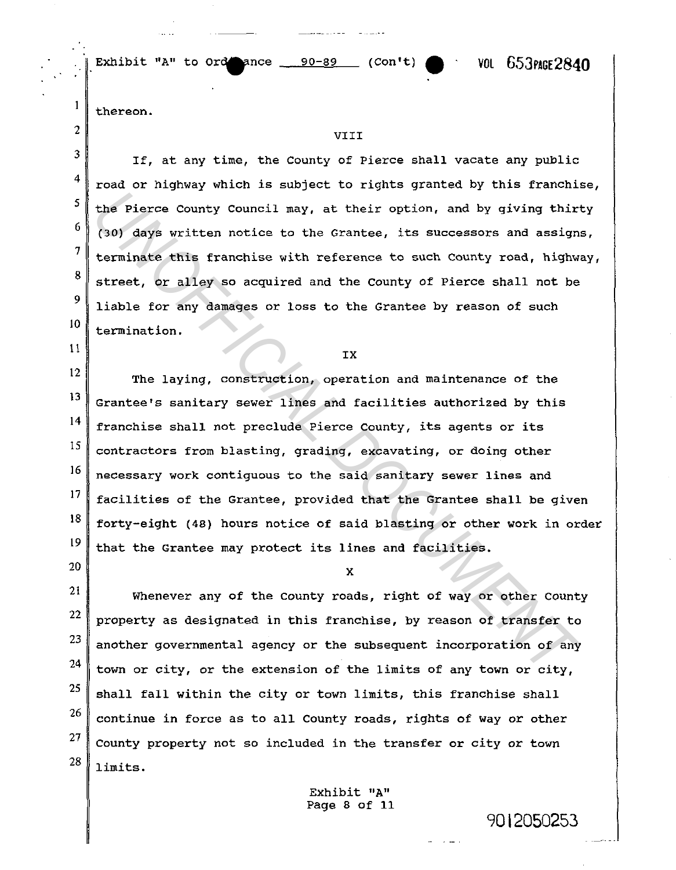Exhibit "A" to  $\text{ord}$  ance  $\underline{\hspace{1cm}}$  90-89 (Con't)  $\bullet$   $\cdot$  VOL  $653$ PAGE2840

9012050253

thereon.

2

 $\mathbf{1}$ 

3

4

s

6

7

8

9

10

11

20

# VIII

If, at any time, the County of Pierce shall vacate any public road or highway which is subject to rights granted by this franchise, the Pierce County Council may, at their option, and by giving thirty (30) days written notice to the Grantee, its successors and assigns, terminate this franchise with reference to such County road, highway, street, or alley so acquired and the county of Pierce shall not be liable for any damages or loss to the Grantee by reason of such termination.

IX

12 13 14 15 16 17 18 19 The laying, construction, operation and maintenance of the Grantee's sanitary sewer lines and facilities authorized by this franchise shall not preclude Pierce County, its agents or its contractors from blasting, grading, excavating, or doing other necessary work contiguous to the said sanitary sewer lines and facilities of the Grantee, provided that the Grantee shall be given forty-eight (48) hours notice of said blasting or other work in order that the Grantee may protect its lines and facilities. the Pierce County Council may, at their option, and by giving thir<br>
(30) days written notice to the Crantee, its successors and assign<br>
terminate this franchise with reference to euch County road, highwe<br>
street, or alley

x

21 22 23 24 25 26 27 28 Whenever any of the County roads, right of way or other County property as designated in this franchise, by reason of transfer to another governmental agency or the subsequent incorporation of any town or city, or the extension of the limits of any town or city, shall fall within the city or town limits, this franchise shall continue in force as to all County roads, rights of way or other county property not so included in the transfer or city or town limits.

> Exhibit "A" Page 8 of 11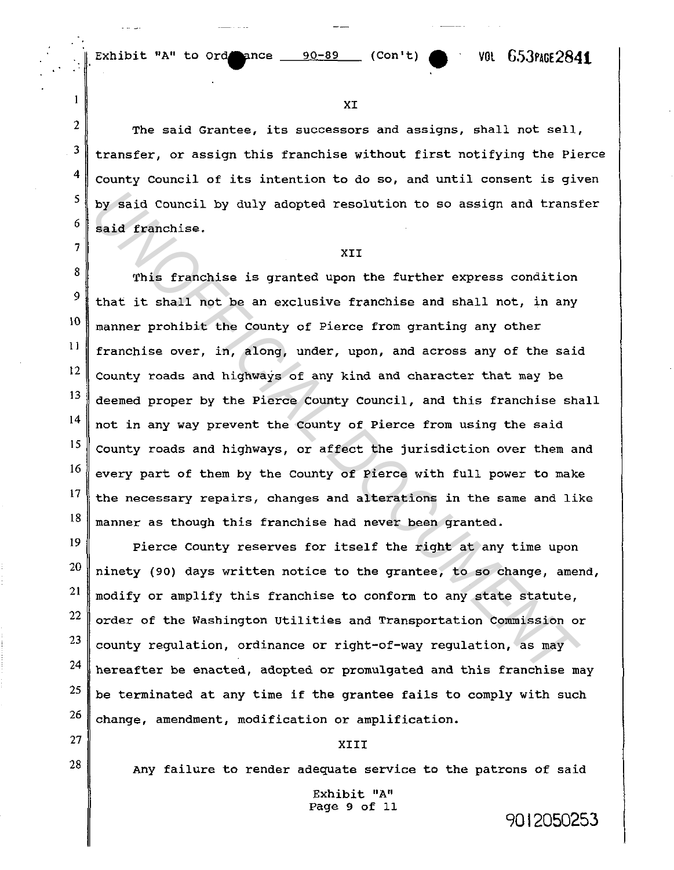2

 $\mathbf{1}$ 

3

4

5

6

7

8

9

10

I 1

27

28

XI

The said Grantee, its successors and assigns, shall not sell, transfer, or assign this franchise without first notifying the Pierce county Council of its intention to do so, and until consent is given by said Council by duly adopted resolution to so assign and transfer said franchise.

## XII

12 13 14 15 16 17 18 This franchise is granted upon the further express condition that it shall not be an exclusive franchise and shall not, in any manner prohibit the County of Pierce from granting any other franchise over, in, along, under, upon, and across any of the said County roads and highways of any kind and character that may be deemed proper by the Pierce county council, and this franchise shall not in any way prevent the County of Pierce from using the said County roads and highways, or affect the jurisdiction over them and every part of them by the County of Pierce with full power to make the necessary repairs, changes and alterations in the same and like manner as though this franchise had never been granted. by said Council by duly adopted resolution to so assign and transmit<br>said franchise.<br>XII<br>This franchise is granted upon the further express condition<br>that it shall not be an exclusive franchise and shall not, in any<br>manner

19 20 21 22 23 24 25 26 Pierce County reserves for itself the right at any time upon ninety (90) days written notice to the grantee, to so change, amend, modify or amplify this franchise to conform to any state statute, order of the Washington Utilities and Transportation Commission or county regulation, ordinance or right-of-way regulation, as may hereafter be enacted, adopted or promulgated and this franchise may be terminated at any time if the grantee fails to comply with such change, amendment, modification or amplification.

### XIII

Any failure to render adequate service to the patrons Of said

Exhibit "A" Page 9 of 11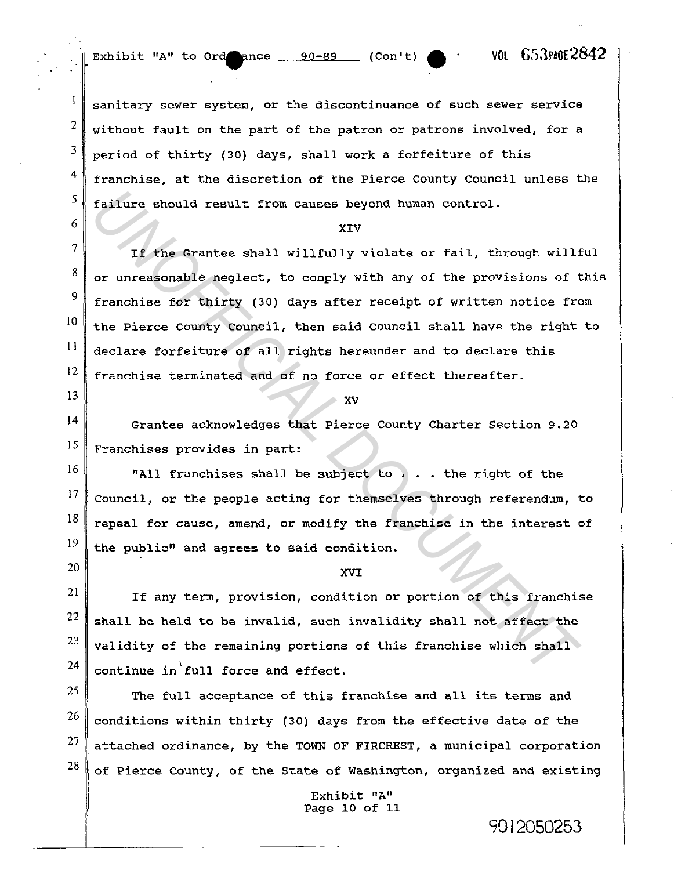Exhibit "A" to Ordence  $90-89$  (Con't)  $\bullet$  ' VOL 653PAGE2842

2

 $\mathbf{I}$ 

3

4

5

6

7

8

9

10

1 l

12

13

17

20

sanitary sewer system, or the discontinuance of such sewer service without fault on the part of the patron or patrons involved, for a period of thirty (30) days, shall work a forfeiture of this franchise, at the discretion of the Pierce County Council unless the failure should result from causes beyond human control.

## XIV

If the Grantee shall willfully violate or fail, through willful or unreasonable neglect, to comply with any of the provisions of this franchise for thirty (30) days after receipt of written notice from the Pierce County council, then said council shall have the right to declare forfeiture of all rights hereunder and to declare this franchise terminated and of no force or effect thereafter. failure should result from causes beyond human control.<br> *XIV*<br>
If the Grantee shall willfully violate or fail, through will<br>
or unreasonable neglect, to comply with any of the provisions of<br>
franchise for thirty (30) days

xv

14 15 Grantee acknowledges that Pierce County Charter Section 9.20 Franchises provides in part:

16 18 19 "All franchises shall be subject to . . . the right of the Council, or the people acting for themselves through referendum, to repeal for cause, amend, or modify the franchise in the interest of the public" and agrees to said condition.

### XVI

21 22 23 24 If any term, provision, condition or portion of this franchise shall be held to be invalid, such invalidity shall not affect the validity of the remaining portions of this franchise which shall continue in full force and effect.

25 26 27 28 The full acceptance of this franchise and all its terms and conditions within thirty (30) days from the effective date of the attached ordinance, by the TOWN OF FIRCREST, a municipal corporation of Pierce county, of the State of Washington, organized and existing

> Exhibit "A" Page 10 of 11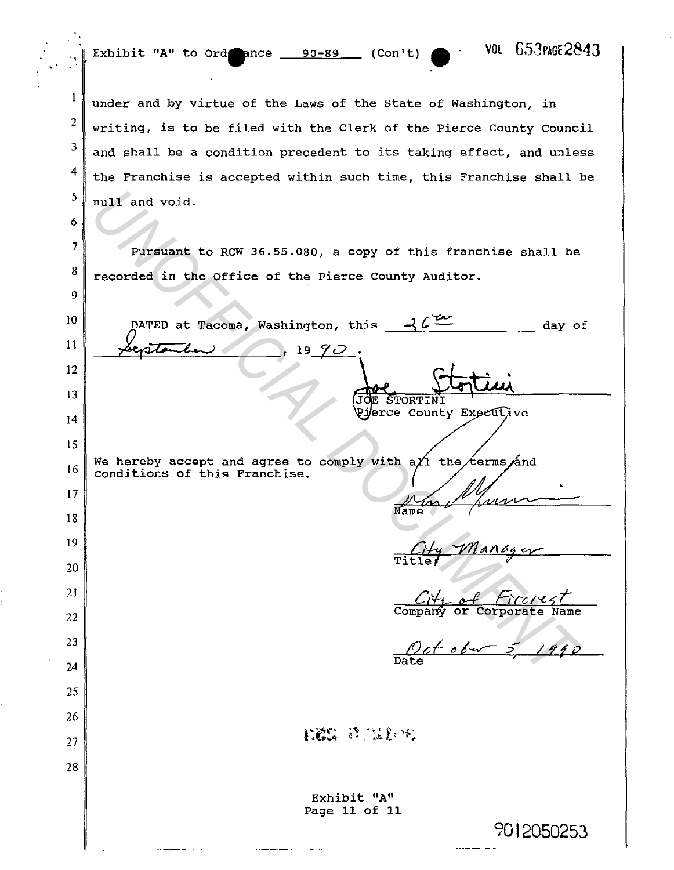Exhibit "A" to Ord. nce  $-$  90-89. (Con't)  $\bullet$  VOL 653PAGE2843

6

 $\mathbf{1}$ 

7

8

9

2 3 4 5 under and by virtue of the Laws of the State of Washington, in writing, is to be filed with the Clerk of the Pierce County council and shall be a condition precedent to its taking effect, and unless the Franchise is accepted within such time, this Franchise shall be null and void.

Pursuant to RCW 36.55.080, a copy of this franchise shall be recorded in the Office of the Pierce County Auditor.

**PATED at Tecoma, Washington, this**  $\frac{2\ell^{22}}{\sqrt{2\ell-2\ell}}$  **day of the present of the Pierce County Auditor.**<br>
DATED at Tecoma, Washington, this  $\frac{2\ell^{22}}{\sqrt{2\ell-2\ell}}$  day of  $\frac{1990}{\sqrt{2\ell}}$ . The present of this franchis 10 DATED at Tacoma, Washington, this day of  $\sqrt{c}$ pares at racoma, wasnington, the 11 12 13 STORTINI Pi*erce County Executive* 14 15 We hereby accept and agree to comply with a $\chi_1$  the  $\ell$ erms and 16 conditions of this Franchise. 17 18 19 20 21 22 Oct 06 - 5, 1990 23 24 25 26 **LES** 经选择名 27 28 Exhibit "A" Page 11 of 11 9012050253